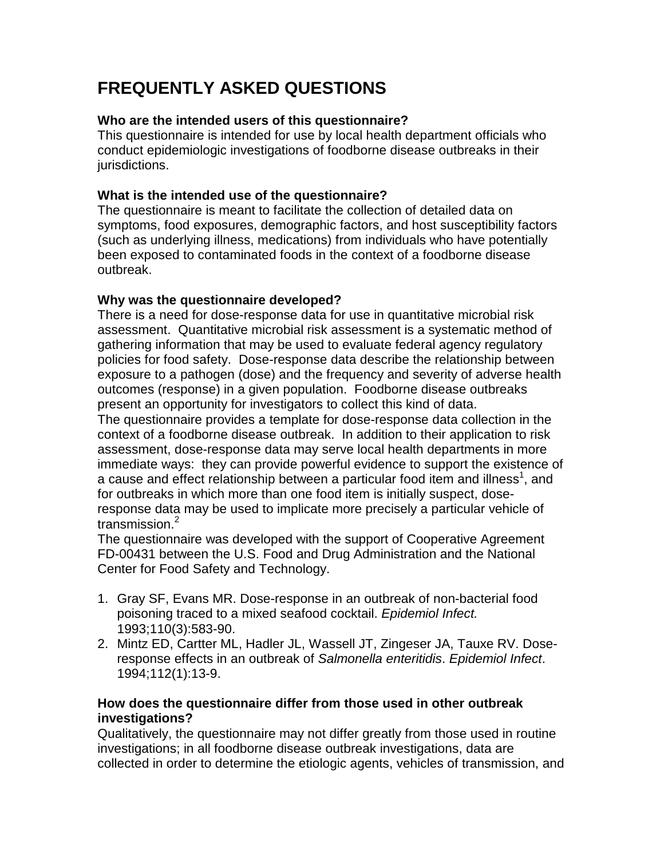# **FREQUENTLY ASKED QUESTIONS**

## **Who are the intended users of this questionnaire?**

This questionnaire is intended for use by local health department officials who conduct epidemiologic investigations of foodborne disease outbreaks in their jurisdictions.

#### **What is the intended use of the questionnaire?**

The questionnaire is meant to facilitate the collection of detailed data on symptoms, food exposures, demographic factors, and host susceptibility factors (such as underlying illness, medications) from individuals who have potentially been exposed to contaminated foods in the context of a foodborne disease outbreak.

## **Why was the questionnaire developed?**

There is a need for dose-response data for use in quantitative microbial risk assessment. Quantitative microbial risk assessment is a systematic method of gathering information that may be used to evaluate federal agency regulatory policies for food safety. Dose-response data describe the relationship between exposure to a pathogen (dose) and the frequency and severity of adverse health outcomes (response) in a given population. Foodborne disease outbreaks present an opportunity for investigators to collect this kind of data.

The questionnaire provides a template for dose-response data collection in the context of a foodborne disease outbreak. In addition to their application to risk assessment, dose-response data may serve local health departments in more immediate ways: they can provide powerful evidence to support the existence of a cause and effect relationship between a particular food item and illness<sup>1</sup>, and for outbreaks in which more than one food item is initially suspect, doseresponse data may be used to implicate more precisely a particular vehicle of transmission.<sup>2</sup>

The questionnaire was developed with the support of Cooperative Agreement FD-00431 between the U.S. Food and Drug Administration and the National Center for Food Safety and Technology.

- 1. Gray SF, Evans MR. Dose-response in an outbreak of non-bacterial food poisoning traced to a mixed seafood cocktail. *Epidemiol Infect.* 1993;110(3):583-90.
- 2. Mintz ED, Cartter ML, Hadler JL, Wassell JT, Zingeser JA, Tauxe RV. Doseresponse effects in an outbreak of *Salmonella enteritidis*. *Epidemiol Infect*. 1994;112(1):13-9.

## **How does the questionnaire differ from those used in other outbreak investigations?**

Qualitatively, the questionnaire may not differ greatly from those used in routine investigations; in all foodborne disease outbreak investigations, data are collected in order to determine the etiologic agents, vehicles of transmission, and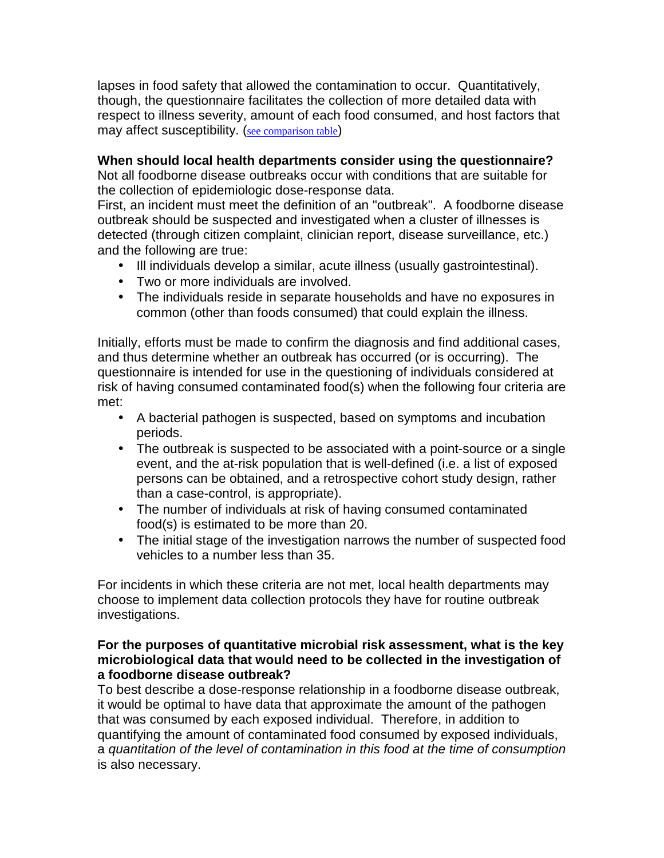lapses in food safety that allowed the contamination to occur. Quantitatively, though, the questionnaire facilitates the collection of more detailed data with respect to illness severity, amount of each food consumed, and host factors that may affect susceptibility. (see comparison table)

## **When should local health departments consider using the questionnaire?**

Not all foodborne disease outbreaks occur with conditions that are suitable for the collection of epidemiologic dose-response data.

First, an incident must meet the definition of an "outbreak". A foodborne disease outbreak should be suspected and investigated when a cluster of illnesses is detected (through citizen complaint, clinician report, disease surveillance, etc.) and the following are true:

- Ill individuals develop a similar, acute illness (usually gastrointestinal).
- Two or more individuals are involved.
- The individuals reside in separate households and have no exposures in common (other than foods consumed) that could explain the illness.

Initially, efforts must be made to confirm the diagnosis and find additional cases, and thus determine whether an outbreak has occurred (or is occurring). The questionnaire is intended for use in the questioning of individuals considered at risk of having consumed contaminated food(s) when the following four criteria are met:

- A bacterial pathogen is suspected, based on symptoms and incubation periods.
- The outbreak is suspected to be associated with a point-source or a single event, and the at-risk population that is well-defined (i.e. a list of exposed persons can be obtained, and a retrospective cohort study design, rather than a case-control, is appropriate).
- The number of individuals at risk of having consumed contaminated food(s) is estimated to be more than 20.
- The initial stage of the investigation narrows the number of suspected food vehicles to a number less than 35.

For incidents in which these criteria are not met, local health departments may choose to implement data collection protocols they have for routine outbreak investigations.

#### **For the purposes of quantitative microbial risk assessment, what is the key microbiological data that would need to be collected in the investigation of a foodborne disease outbreak?**

To best describe a dose-response relationship in a foodborne disease outbreak, it would be optimal to have data that approximate the amount of the pathogen that was consumed by each exposed individual. Therefore, in addition to quantifying the amount of contaminated food consumed by exposed individuals, a *quantitation of the level of contamination in this food at the time of consumption* is also necessary.